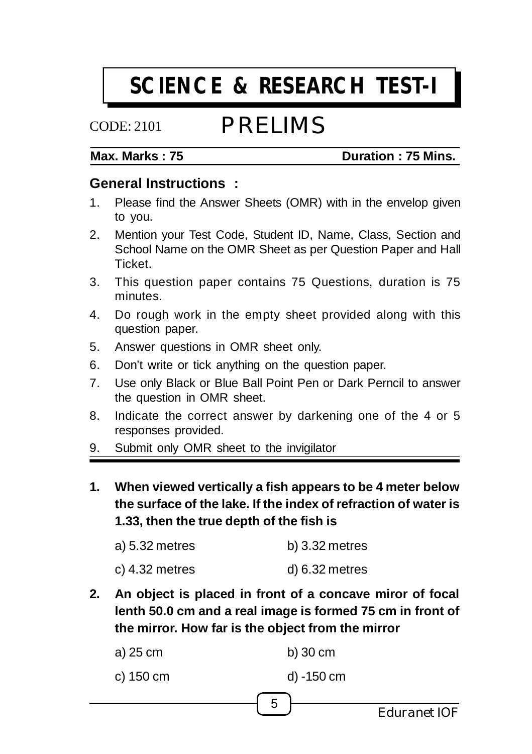# **SCIENCE & RESEARCH TEST-I**

# CODE: 2101

# PRELIMS

#### **Max. Marks : 75 Duration : 75 Mins.**

#### **General Instructions :**

- 1. Please find the Answer Sheets (OMR) with in the envelop given to you.
- 2. Mention your Test Code, Student ID, Name, Class, Section and School Name on the OMR Sheet as per Question Paper and Hall **Ticket**
- 3. This question paper contains 75 Questions, duration is 75 minutes.
- 4. Do rough work in the empty sheet provided along with this question paper.
- 5. Answer questions in OMR sheet only.
- 6. Don't write or tick anything on the question paper.
- 7. Use only Black or Blue Ball Point Pen or Dark Perncil to answer the question in OMR sheet.
- 8. Indicate the correct answer by darkening one of the 4 or 5 responses provided.
- 9. Submit only OMR sheet to the invigilator
- **1. When viewed vertically a fish appears to be 4 meter below the surface of the lake. If the index of refraction of water is 1.33, then the true depth of the fish is**

| a) 5.32 metres | $b)$ 3.32 metres  |
|----------------|-------------------|
| c) 4.32 metres | $d$ ) 6.32 metres |

**2. An object is placed in front of a concave miror of focal lenth 50.0 cm and a real image is formed 75 cm in front of the mirror. How far is the object from the mirror**

|           |            | Eduranet IOF |
|-----------|------------|--------------|
|           | -5         |              |
| c) 150 cm | d) -150 cm |              |
| a) 25 cm  | $b)$ 30 cm |              |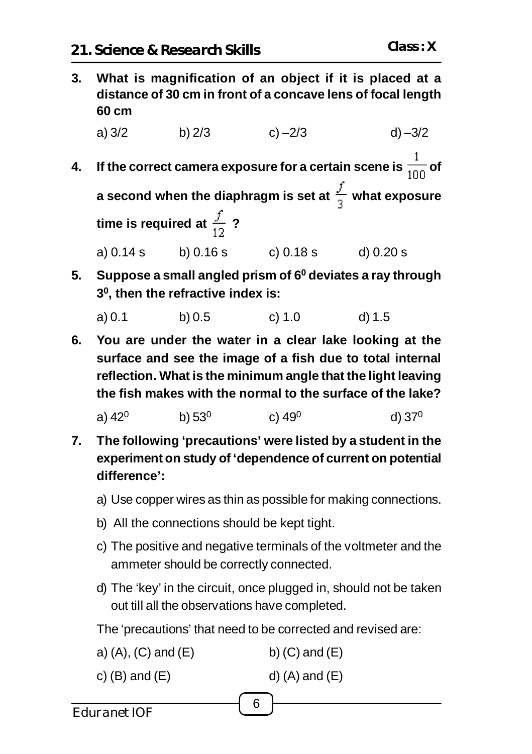**3. What is magnification of an object if it is placed at a distance of 30 cm in front of a concave lens of focal length 60 cm**

a) 3/2 b) 2/3 c) –2/3 d) –3/2

- **4.** If the correct camera exposure for a certain scene is  $\frac{1}{100}$  of **a** second when the diaphragm is set at  $\frac{f}{a}$  what exposure **time is required at**  $\frac{f}{12}$  **?** a) 0.14 s b) 0.16 s c) 0.18 s d) 0.20 s
- **5. Suppose a small angled prism of 6<sup>0</sup> deviates a ray through 3 0 , then the refractive index is:**
	- a) 0.1 b) 0.5 c) 1.0 d) 1.5
- **6. You are under the water in a clear lake looking at the surface and see the image of a fish due to total internal reflection. What is the minimum angle that the light leaving the fish makes with the normal to the surface of the lake?**

a) 42 $^{\rm 0}$  b) 53 $^{\rm 0}$  c) 49 $^{\rm 0}$  d) 37 $^{\rm 0}$ 

- **7. The following 'precautions' were listed by a student in the experiment on study of 'dependence of current on potential difference':**
	- a) Use copper wires as thin as possible for making connections.
	- b) All the connections should be kept tight.
	- c) The positive and negative terminals of the voltmeter and the ammeter should be correctly connected.
	- d) The 'key' in the circuit, once plugged in, should not be taken out till all the observations have completed.

The 'precautions' that need to be corrected and revised are:

6

- a)  $(A)$ ,  $(C)$  and  $(E)$  b)  $(C)$  and  $(E)$
- c)  $(B)$  and  $(E)$  d)  $(A)$  and  $(E)$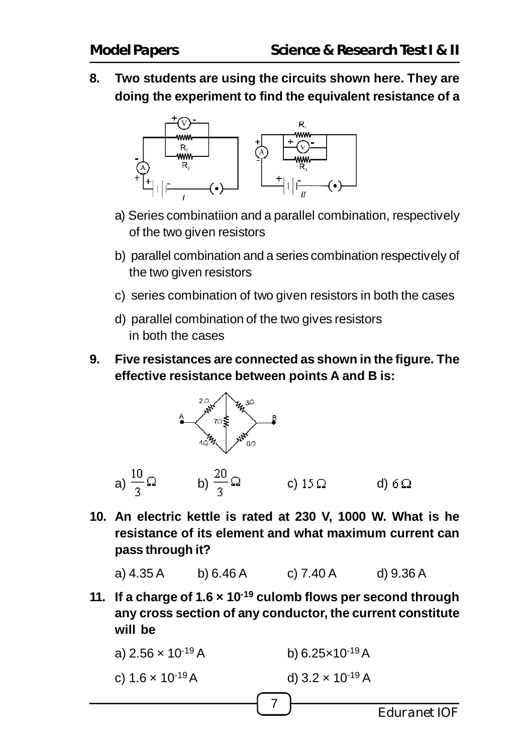**8. Two students are using the circuits shown here. They are doing the experiment to find the equivalent resistance of a**



- a) Series combinatiion and a parallel combination, respectively of the two given resistors
- b) parallel combination and a series combination respectively of the two given resistors
- c) series combination of two given resistors in both the cases
- d) parallel combination of the two gives resistors in both the cases
- **9. Five resistances are connected as shown in the figure. The effective resistance between points A and B is:**



**10. An electric kettle is rated at 230 V, 1000 W. What is he resistance of its element and what maximum current can pass through it?**

a) 4.35 A b) 6.46 A c) 7.40 A d) 9.36 A

**11. If a charge of 1.6 × 10-19 culomb flows per second through any cross section of any conductor, the current constitute will be**

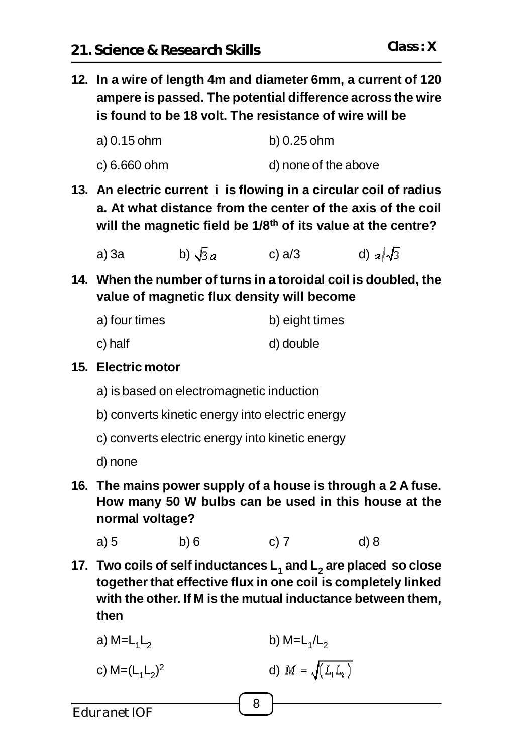**12. In a wire of length 4m and diameter 6mm, a current of 120 ampere is passed. The potential difference across the wire is found to be 18 volt. The resistance of wire will be**

| a) 0.15 ohm  | b) 0.25 ohm          |
|--------------|----------------------|
| c) 6.660 ohm | d) none of the above |

- **13. An electric current i is flowing in a circular coil of radius a. At what distance from the center of the axis of the coil will the magnetic field be 1/8th of its value at the centre?**
	- a) 3a b)  $\sqrt{3}a$  c) a/3 d)  $a/\sqrt{3}$
- **14. When the number of turns in a toroidal coil is doubled, the value of magnetic flux density will become**

- c) half d) double
- **15. Electric motor**
	- a) is based on electromagnetic induction
	- b) converts kinetic energy into electric energy
	- c) converts electric energy into kinetic energy
	- d) none
- **16. The mains power supply of a house is through a 2 A fuse. How many 50 W bulbs can be used in this house at the normal voltage?**

a) 5 b) 6 c) 7 d) 8

**17. Two coils of self inductances L<sup>1</sup> and L<sup>2</sup> are placed so close together that effective flux in one coil is completely linked with the other. If M is the mutual inductance between them, then**

8

a) M=L<sub>1</sub>L<sub>2</sub> b) M= $\mathsf{L}_1/\mathsf{L}_2$ c) M=(L<sub>1</sub>L<sub>2</sub>) d)  $M = \sqrt{(L_1 L_2)}$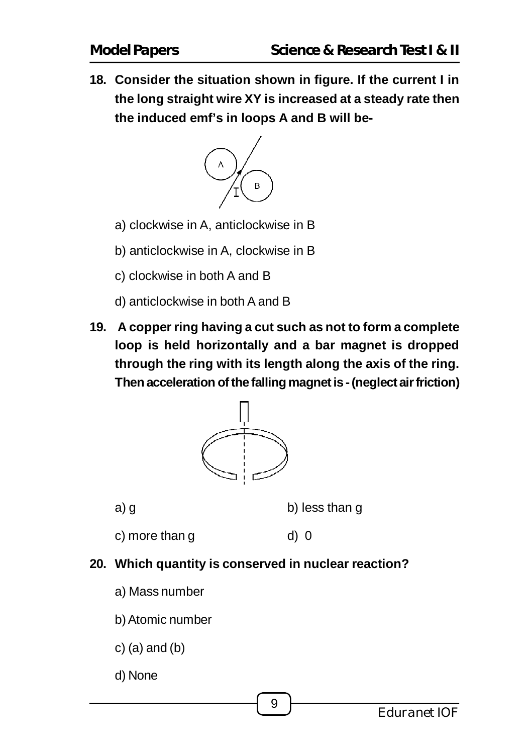**18. Consider the situation shown in figure. If the current I in the long straight wire XY is increased at a steady rate then the induced emf's in loops A and B will be-**



- a) clockwise in A, anticlockwise in B
- b) anticlockwise in A, clockwise in B
- c) clockwise in both A and B
- d) anticlockwise in both A and B
- **19. A copper ring having a cut such as not to form a complete loop is held horizontally and a bar magnet is dropped through the ring with its length along the axis of the ring. Then acceleration of the falling magnet is - (neglect air friction)**



a) g b) less than g

- $c)$  more than  $g$  d)  $0$
- **20. Which quantity is conserved in nuclear reaction?**
	- a) Mass number
	- b) Atomic number
	- $c)$  (a) and (b)
	- d) None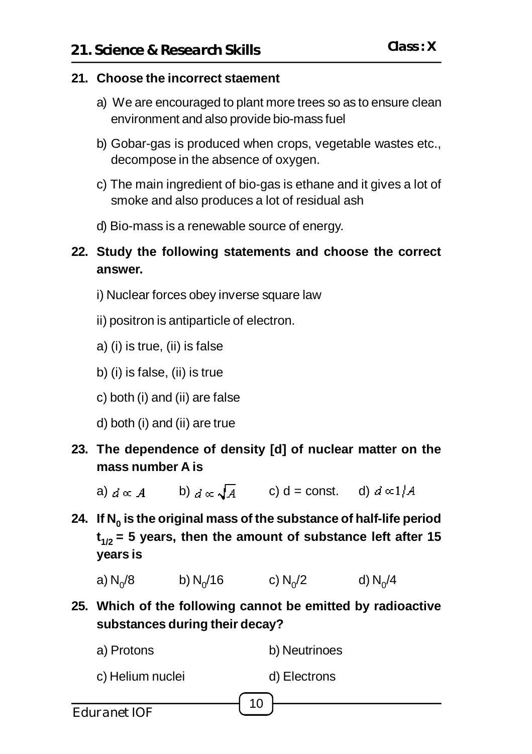### **21. Choose the incorrect staement**

- a) We are encouraged to plant more trees so as to ensure clean environment and also provide bio-mass fuel
- b) Gobar-gas is produced when crops, vegetable wastes etc., decompose in the absence of oxygen.
- c) The main ingredient of bio-gas is ethane and it gives a lot of smoke and also produces a lot of residual ash
- d) Bio-mass is a renewable source of energy.
- **22. Study the following statements and choose the correct answer.**
	- i) Nuclear forces obey inverse square law
	- ii) positron is antiparticle of electron.
	- a) (i) is true, (ii) is false
	- b) (i) is false, (ii) is true
	- c) both (i) and (ii) are false
	- d) both (i) and (ii) are true
- **23. The dependence of density [d] of nuclear matter on the mass number A is**
	- a)  $d \propto A$  b)  $d \propto \sqrt{A}$  c) d = const. d)  $d \propto 1/A$
- **24. If N<sup>0</sup> is the original mass of the substance of half-life period t 1/2 = 5 years, then the amount of substance left after 15 years is**
	- a)  $N_0/8$ /8 b)  $N_0/16$  c)  $N_0/2$  d)  $N_0$ d)  $N_0/4$
- **25. Which of the following cannot be emitted by radioactive substances during their decay?**

| a) Protons       | b) Neutrinoes   |
|------------------|-----------------|
| c) Helium nuclei | d) Electrons    |
|                  | 10 <sup>1</sup> |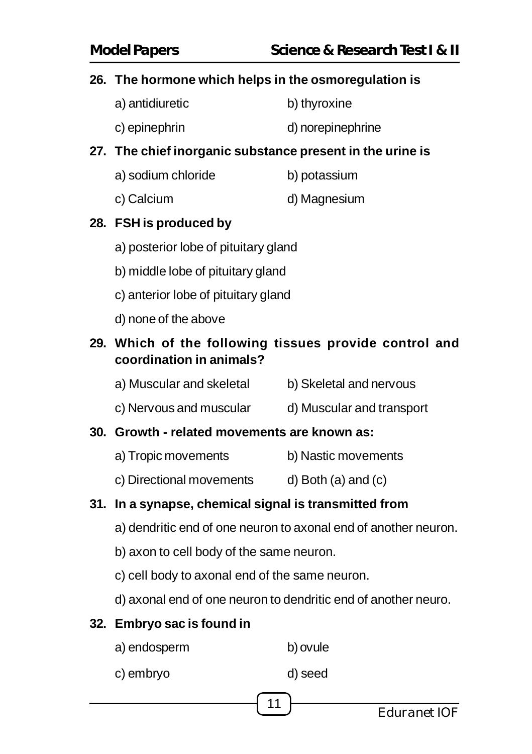# **26. The hormone which helps in the osmoregulation is**

- a) antidiuretic b) thyroxine
- c) epinephrin d) norepinephrine

# **27. The chief inorganic substance present in the urine is**

a) sodium chloride b) potassium c) Calcium d) Magnesium

# **28. FSH is produced by**

- a) posterior lobe of pituitary gland
- b) middle lobe of pituitary gland
- c) anterior lobe of pituitary gland
- d) none of the above

# **29. Which of the following tissues provide control and coordination in animals?**

- a) Muscular and skeletal b) Skeletal and nervous
- c) Nervous and muscular d) Muscular and transport

#### **30. Growth - related movements are known as:**

- a) Tropic movements b) Nastic movements
- c) Directional movements d) Both (a) and (c)

# **31. In a synapse, chemical signal is transmitted from**

- a) dendritic end of one neuron to axonal end of another neuron.
- b) axon to cell body of the same neuron.
- c) cell body to axonal end of the same neuron.
- d) axonal end of one neuron to dendritic end of another neuro.

# **32. Embryo sac is found in**

- a) endosperm b) ovule
- c) embryo d) seed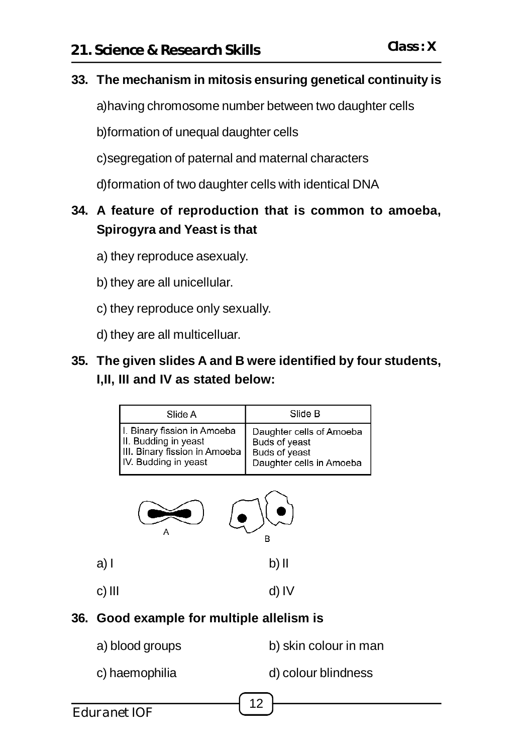### **33. The mechanism in mitosis ensuring genetical continuity is**

a)having chromosome number between two daughter cells

b)formation of unequal daughter cells

c)segregation of paternal and maternal characters

d)formation of two daughter cells with identical DNA

# **34. A feature of reproduction that is common to amoeba, Spirogyra and Yeast is that**

- a) they reproduce asexualy.
- b) they are all unicellular.
- c) they reproduce only sexually.
- d) they are all multicelluar.

# **35. The given slides A and B were identified by four students, I,II, III and IV as stated below:**

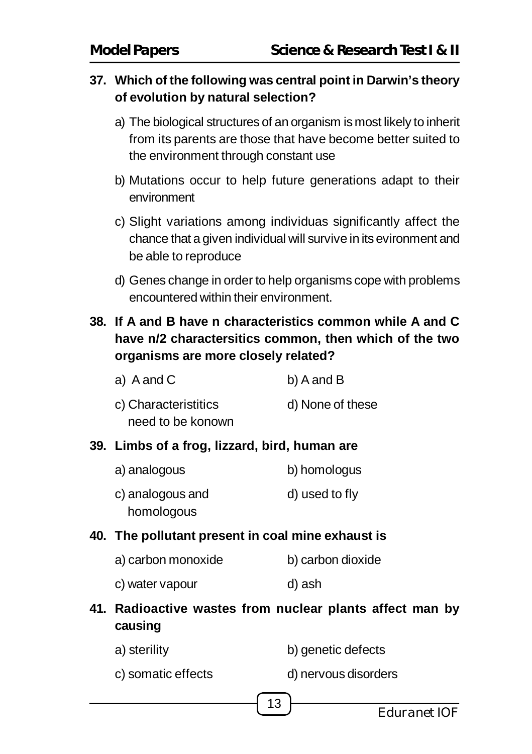# **37. Which of the following was central point in Darwin's theory of evolution by natural selection?**

- a) The biological structures of an organism is most likely to inherit from its parents are those that have become better suited to the environment through constant use
- b) Mutations occur to help future generations adapt to their environment
- c) Slight variations among individuas significantly affect the chance that a given individual will survive in its evironment and be able to reproduce
- d) Genes change in order to help organisms cope with problems encountered within their environment.

# **38. If A and B have n characteristics common while A and C have n/2 charactersitics common, then which of the two organisms are more closely related?**

| a) A and C           | b) A and B       |
|----------------------|------------------|
| c) Characteristitics | d) None of these |
| need to be konown    |                  |

# **39. Limbs of a frog, lizzard, bird, human are**

| a) analogous     | b) homologus   |
|------------------|----------------|
| c) analogous and | d) used to fly |
| homologous       |                |

#### **40. The pollutant present in coal mine exhaust is**

- a) carbon monoxide b) carbon dioxide
	- c) water vapour d) ash
- **41. Radioactive wastes from nuclear plants affect man by causing**
	- a) sterility b) genetic defects
	- c) somatic effects d) nervous disorders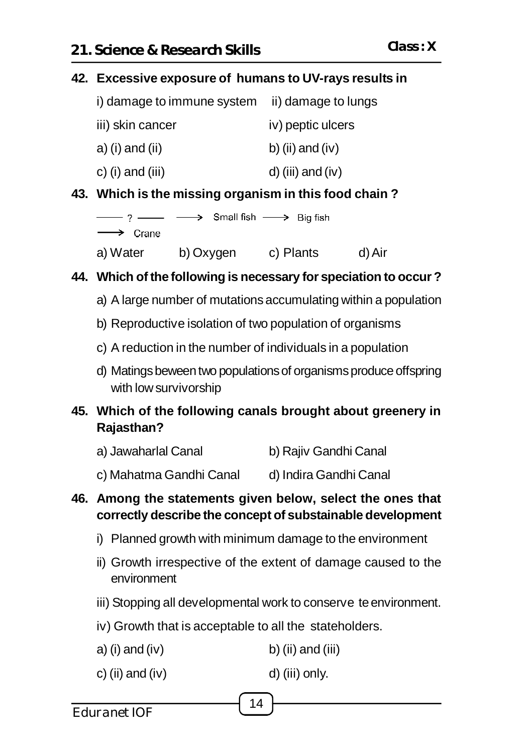#### **42. Excessive exposure of humans to UV-rays results in**

| i) damage to immune system | ii) damage to lungs |
|----------------------------|---------------------|
| iii) skin cancer           | iv) peptic ulcers   |
| a) (i) and (ii)            | b) (ii) and (iv)    |
| c) (i) and (iii)           | $d)$ (iii) and (iv) |

#### **43. Which is the missing organism in this food chain ?**

|                         | $\longrightarrow$ ? $\longrightarrow$ $\longrightarrow$ Small fish $\longrightarrow$ Big fish |           |        |
|-------------------------|-----------------------------------------------------------------------------------------------|-----------|--------|
| $\longrightarrow$ Crane |                                                                                               |           |        |
| a) Water                | b) Oxygen                                                                                     | c) Plants | d) Air |

# **44. Which of the following is necessary for speciation to occur ?**

- a) A large number of mutations accumulating within a population
- b) Reproductive isolation of two population of organisms
- c) A reduction in the number of individuals in a population
- d) Matings beween two populations of organisms produce offspring with low survivorship

# **45. Which of the following canals brought about greenery in Rajasthan?**

- a) Jawaharlal Canal b) Rajiv Gandhi Canal
- c) Mahatma Gandhi Canal d) Indira Gandhi Canal

#### **46. Among the statements given below, select the ones that correctly describe the concept of substainable development**

- i) Planned growth with minimum damage to the environment
- ii) Growth irrespective of the extent of damage caused to the environment
- iii) Stopping all developmental work to conserve te environment.
- iv) Growth that is acceptable to all the stateholders.
- a) (i) and (iv) b) (ii) and (iii)
- c) (ii) and (iv) d) (iii) only.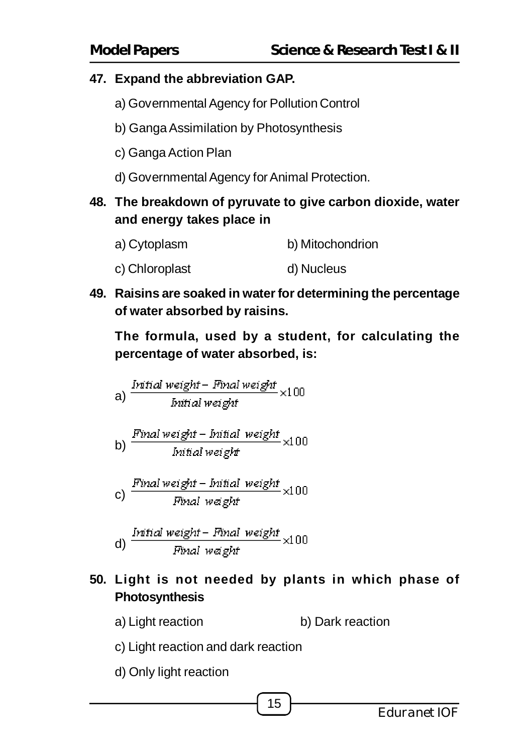# **47. Expand the abbreviation GAP.**

- a) Governmental Agency for Pollution Control
- b) Ganga Assimilation by Photosynthesis
- c) Ganga Action Plan
- d) Governmental Agency for Animal Protection.
- **48. The breakdown of pyruvate to give carbon dioxide, water and energy takes place in**
	- a) Cytoplasm b) Mitochondrion
	- c) Chloroplast d) Nucleus
- **49. Raisins are soaked in water for determining the percentage of water absorbed by raisins.**

**The formula, used by a student, for calculating the percentage of water absorbed, is:**

\n- a) 
$$
\frac{\text{Initial weight} - \text{Final weight}}{\text{Initial weight}} \times 100
$$
\n- b)  $\frac{\text{Final weight} - \text{Initial weight}}{\text{Initial weight}} \times 100$
\n- c)  $\frac{\text{Final weight} - \text{Initial weight}}{\text{Final weight}} \times 100$
\n

(d) 
$$
\frac{Initial\ weight - Final\ weight}{Final\ weight} \times 100
$$

# **50. Light is not needed by plants in which phase of Photosynthesis**

- a) Light reaction b) Dark reaction
- c) Light reaction and dark reaction
- d) Only light reaction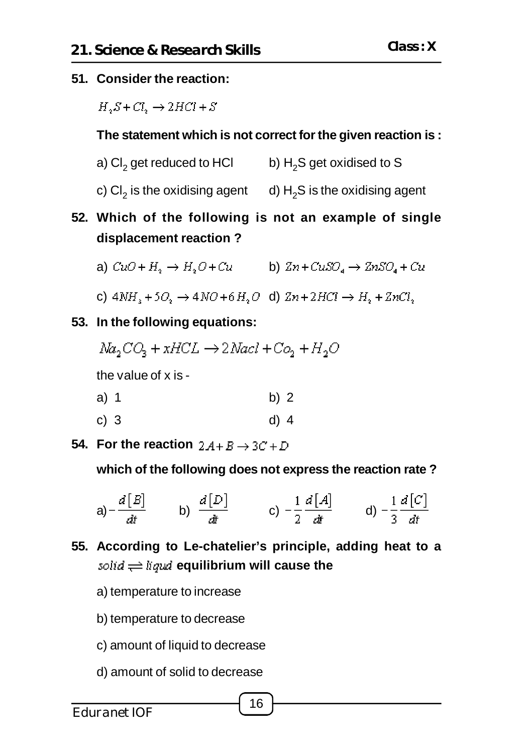#### **51. Consider the reaction:**

 $H.S+CL \rightarrow 2HCl+S$ 

#### **The statement which is not correct for the given reaction is :**

- a) Cl $_2$  get reduced to HCl  $\qquad \qquad$  b)  $\rm H_2S$  get oxidised to S
- c) Cl $_2$  is the oxidising agent  $\;\;\;$  d) H $_2$ S is the oxidising agent
- **52. Which of the following is not an example of single displacement reaction ?**
	- a)  $CuO + H_2 \rightarrow H_2O + Cu$  b)  $Zn + CuSO_4 \rightarrow 2nSO_4 + Cu$
	- c)  $4NH_3 + 5O_2 \rightarrow 4NO + 6H_2O$  d)  $2n + 2HCl \rightarrow H_2 + 2nCl_2$
- **53. In the following equations:**
	- $Na_2CO_2 + xHCL \rightarrow 2$  Nacl + Co<sub>2</sub> + H<sub>2</sub>O

the value of x is -

- a) 1 b) 2
- c) 3 d) 4
- **54.** For the reaction  $2A + B \rightarrow 3C + D$

**which of the following does not express the reaction rate ?**

a) 
$$
-\frac{d [B]}{dt}
$$
 b)  $\frac{d [D]}{dt}$  c)  $-\frac{1}{2}\frac{d [A]}{dt}$  d)  $-\frac{1}{3}\frac{d [C]}{dt}$ 

- **55. According to Le-chatelier's principle, adding heat to a** solid  $\rightleftharpoons$  liqual equilibrium will cause the
	- a) temperature to increase
	- b) temperature to decrease
	- c) amount of liquid to decrease
	- d) amount of solid to decrease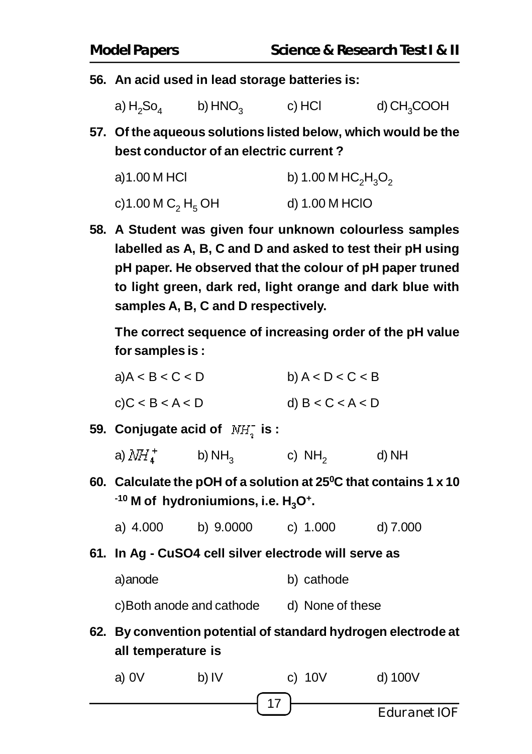**56. An acid used in lead storage batteries is:**

a)  $H_2$ So $_4$  $b)$  HNO $\alpha$ c) HCl d) CH<sub>2</sub>COOH

**57. Of the aqueous solutions listed below, which would be the best conductor of an electric current ?**

| a)1.00 M HCl                              | b) 1.00 M $HC_2H_3O_2$ |
|-------------------------------------------|------------------------|
| c)1.00 M C <sub>2</sub> H <sub>5</sub> OH | d) 1.00 M HCIO         |

**58. A Student was given four unknown colourless samples labelled as A, B, C and D and asked to test their pH using pH paper. He observed that the colour of pH paper truned to light green, dark red, light orange and dark blue with samples A, B, C and D respectively.**

**The correct sequence of increasing order of the pH value for samples is :**

| a)A < B < C < D | b) $A < D < C < B$ |
|-----------------|--------------------|
| c)C < B < A < D | d) $B < C < A < D$ |

**59. Conjugate acid of NH<sub>2</sub> is :** 

| a) $N\!H_{4}^{+}$ | b) $NH3$ | c) $NH2$ | d) NH |
|-------------------|----------|----------|-------|
|                   |          |          |       |

- **60. Calculate the pOH of a solution at 25<sup>0</sup>C that contains 1 x 10 -10 M of hydroniumions, i.e. H3O<sup>+</sup> .**
	- a) 4.000 b) 9.0000 c) 1.000 d) 7.000
- **61. In Ag CuSO4 cell silver electrode will serve as**
	- a)anode b) cathode

c)Both anode and cathode d) None of these

**62. By convention potential of standard hydrogen electrode at all temperature is**

<sup>17</sup> Eduranet IOF a) 0V b) IV c) 10V d) 100V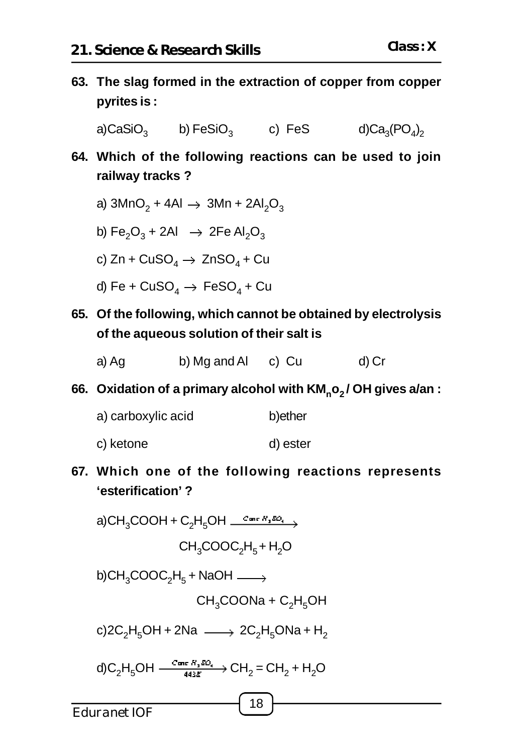**63. The slag formed in the extraction of copper from copper pyrites is :**

 $a)$ CaSiO $\alpha$ b) FeSiO $_3$  c) FeS d)Ca $_3$  $\mathrm{(PO_4)}_2$ 

- **64. Which of the following reactions can be used to join railway tracks ?**
	- a) 3MnO $_2$  + 4Al  $\rightarrow$  3Mn + 2Al $_2$ O $_3$
	- b) Fe $_{2}$ O $_{3}$  + 2Al  $\;\rightarrow$  2Fe Al $_{2}$ O $_{3}$
	- c) Zn + CuSO $_4 \rightarrow \,$  ZnSO $_4$  + Cu
	- d) Fe +  $\text{CuSO}_4\rightarrow\,\text{FeSO}_4$  +  $\text{Cu}$
- **65. Of the following, which cannot be obtained by electrolysis of the aqueous solution of their salt is**
	- a) Ag b) Mg and Al c) Cu d) Cr
- **66. Oxidation of a primary alcohol with KM<sup>n</sup> o2 / OH gives a/an :**
	- a) carboxylic acid b)ether
	- c) ketone d) ester
- **67. Which one of the following reactions represents 'esterification' ?**

a)CH<sub>3</sub>COOH + C<sub>2</sub>H<sub>5</sub>OH  $\frac{Cm_E H_2 D O}{T}$  $CH<sub>3</sub>COOC<sub>2</sub>H<sub>5</sub> + H<sub>2</sub>O$ b)CH $_{3}$ COOC $_{2}$ H $_{5}$  + NaOH  $CH<sub>3</sub>COONa + C<sub>2</sub>H<sub>5</sub>OH$ c)2C<sub>2</sub>H<sub>5</sub>OH + 2Na  $\longrightarrow$  2C<sub>2</sub>H<sub>5</sub>ONa + H<sub>2</sub> d) $C_2H_5OH \xrightarrow{amr \pi_1 aC_1} CH_2 = CH_2 + H_2O$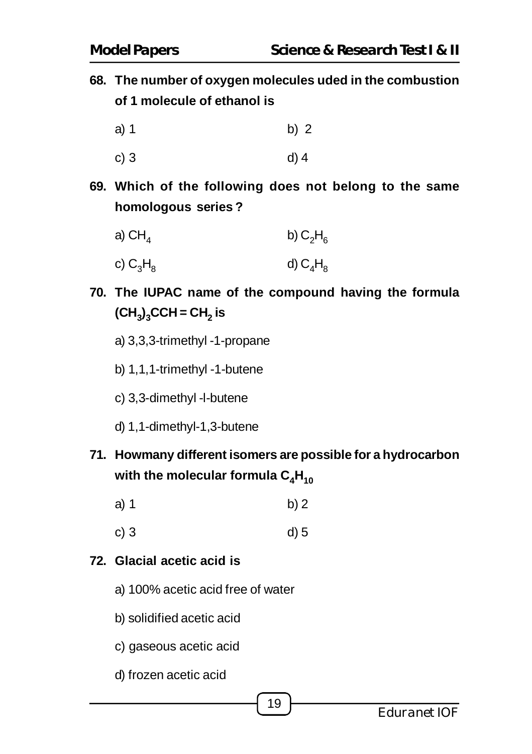**68. The number of oxygen molecules uded in the combustion of 1 molecule of ethanol is**

- a) 1 b) 2
- c) 3 d) 4
- **69. Which of the following does not belong to the same homologous series ?**

| a) $CH4$    | b) $C_2H_6$ |
|-------------|-------------|
| c) $C_3H_8$ | d) $C_4H_8$ |

- **70. The IUPAC name of the compound having the formula (CH<sup>3</sup> ) <sup>3</sup>CCH = CH<sup>2</sup> is**
	- a) 3,3,3-trimethyl -1-propane
	- b) 1,1,1-trimethyl -1-butene
	- c) 3,3-dimethyl -l-butene
	- d) 1,1-dimethyl-1,3-butene
- **71. Howmany different isomers are possible for a hydrocarbon** with the molecular formula  $C_4H_{10}$ 
	- a) 1 b) 2
	- c) 3 d) 5

# **72. Glacial acetic acid is**

- a) 100% acetic acid free of water
- b) solidified acetic acid
- c) gaseous acetic acid
- d) frozen acetic acid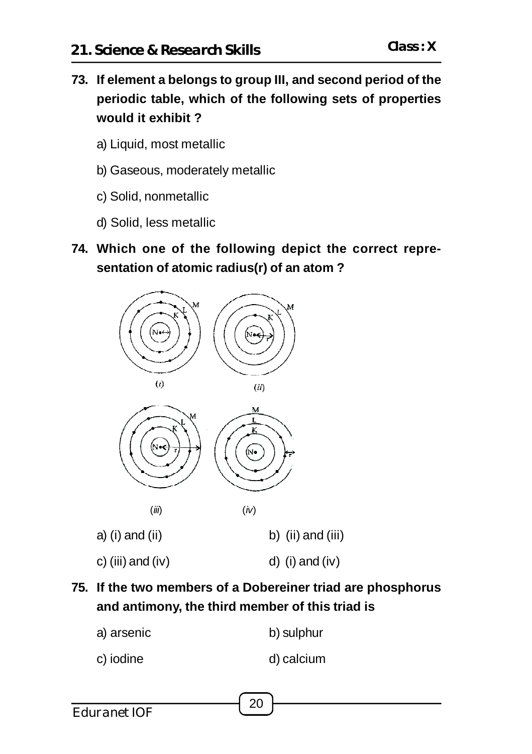- **73. If element a belongs to group III, and second period of the periodic table, which of the following sets of properties would it exhibit ?**
	- a) Liquid, most metallic
	- b) Gaseous, moderately metallic
	- c) Solid, nonmetallic
	- d) Solid, less metallic
- **74. Which one of the following depict the correct representation of atomic radius(r) of an atom ?**



- **75. If the two members of a Dobereiner triad are phosphorus and antimony, the third member of this triad is**
	- a) arsenic b) sulphur
	- c) iodine d) calcium